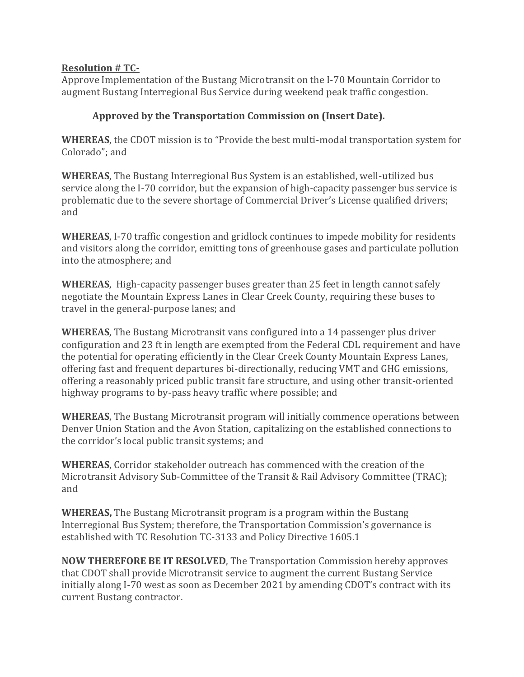## **Resolution # TC-**

Approve Implementation of the Bustang Microtransit on the I-70 Mountain Corridor to augment Bustang Interregional Bus Service during weekend peak traffic congestion.

## **Approved by the Transportation Commission on (Insert Date).**

**WHEREAS**, the CDOT mission is to "Provide the best multi-modal transportation system for Colorado"; and

**WHEREAS**, The Bustang Interregional Bus System is an established, well-utilized bus service along the I-70 corridor, but the expansion of high-capacity passenger bus service is problematic due to the severe shortage of Commercial Driver's License qualified drivers; and

**WHEREAS**, I-70 traffic congestion and gridlock continues to impede mobility for residents and visitors along the corridor, emitting tons of greenhouse gases and particulate pollution into the atmosphere; and

**WHEREAS**, High-capacity passenger buses greater than 25 feet in length cannot safely negotiate the Mountain Express Lanes in Clear Creek County, requiring these buses to travel in the general-purpose lanes; and

**WHEREAS**, The Bustang Microtransit vans configured into a 14 passenger plus driver configuration and 23 ft in length are exempted from the Federal CDL requirement and have the potential for operating efficiently in the Clear Creek County Mountain Express Lanes, offering fast and frequent departures bi-directionally, reducing VMT and GHG emissions, offering a reasonably priced public transit fare structure, and using other transit-oriented highway programs to by-pass heavy traffic where possible; and

**WHEREAS**, The Bustang Microtransit program will initially commence operations between Denver Union Station and the Avon Station, capitalizing on the established connections to the corridor's local public transit systems; and

**WHEREAS**, Corridor stakeholder outreach has commenced with the creation of the Microtransit Advisory Sub-Committee of the Transit & Rail Advisory Committee (TRAC); and

**WHEREAS,** The Bustang Microtransit program is a program within the Bustang Interregional Bus System; therefore, the Transportation Commission's governance is established with TC Resolution TC-3133 and Policy Directive 1605.1

**NOW THEREFORE BE IT RESOLVED**, The Transportation Commission hereby approves that CDOT shall provide Microtransit service to augment the current Bustang Service initially along I-70 west as soon as December 2021 by amending CDOT's contract with its current Bustang contractor.